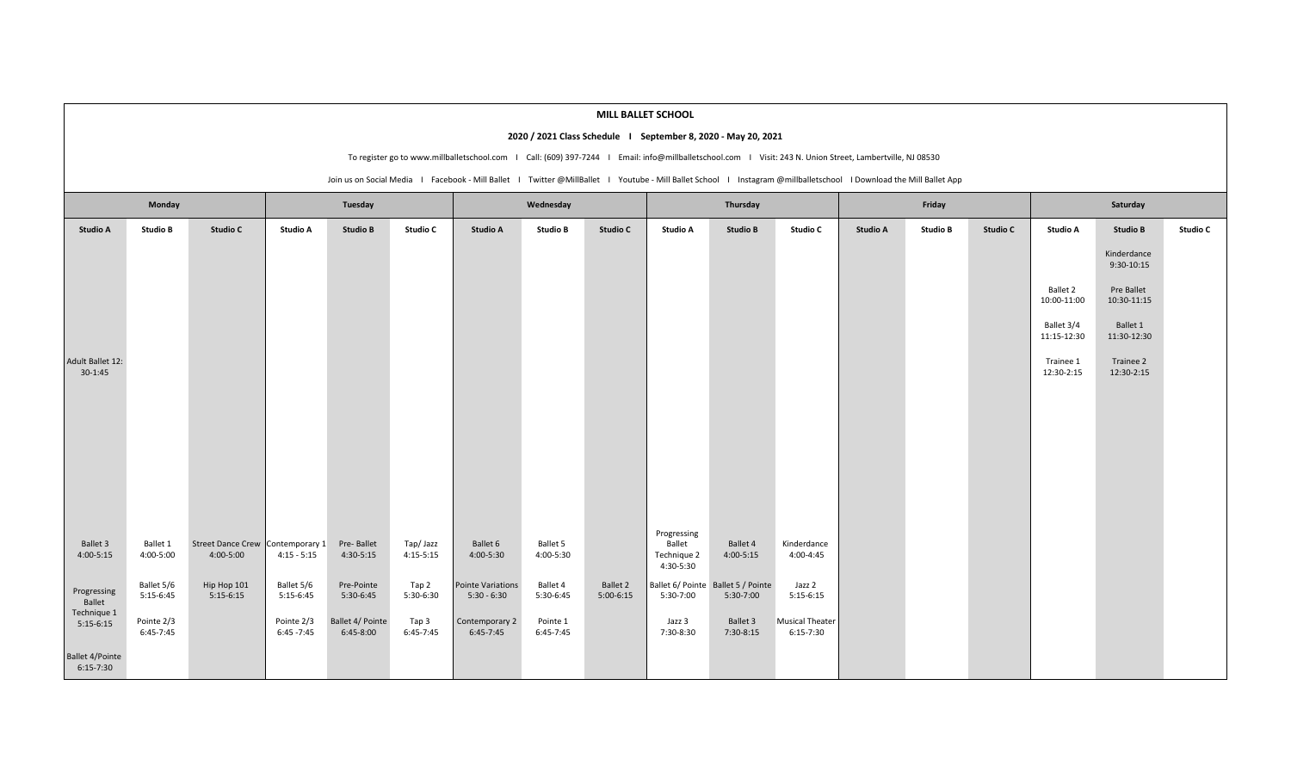|                                                                                                                                                           |                                                                                                                                                                    |                                               |                             |                               |                         |                                    |                         | MILL BALLET SCHOOL      |                                                   |                                                 |                                |          |                 |          |                           |                           |          |
|-----------------------------------------------------------------------------------------------------------------------------------------------------------|--------------------------------------------------------------------------------------------------------------------------------------------------------------------|-----------------------------------------------|-----------------------------|-------------------------------|-------------------------|------------------------------------|-------------------------|-------------------------|---------------------------------------------------|-------------------------------------------------|--------------------------------|----------|-----------------|----------|---------------------------|---------------------------|----------|
| 2020 / 2021 Class Schedule I September 8, 2020 - May 20, 2021                                                                                             |                                                                                                                                                                    |                                               |                             |                               |                         |                                    |                         |                         |                                                   |                                                 |                                |          |                 |          |                           |                           |          |
| To register go to www.millballetschool.com   Call: (609) 397-7244   Email: info@millballetschool.com   Visit: 243 N. Union Street, Lambertville, NJ 08530 |                                                                                                                                                                    |                                               |                             |                               |                         |                                    |                         |                         |                                                   |                                                 |                                |          |                 |          |                           |                           |          |
|                                                                                                                                                           | Join us on Social Media I Facebook - Mill Ballet I Twitter @MillBallet I Youtube - Mill Ballet School I Instagram @millballetschool I Download the Mill Ballet App |                                               |                             |                               |                         |                                    |                         |                         |                                                   |                                                 |                                |          |                 |          |                           |                           |          |
| Monday                                                                                                                                                    |                                                                                                                                                                    | Tuesday                                       |                             |                               | Wednesday               |                                    |                         | Thursday                |                                                   |                                                 | Friday                         |          |                 | Saturday |                           |                           |          |
| <b>Studio A</b>                                                                                                                                           | <b>Studio B</b>                                                                                                                                                    | Studio C                                      | <b>Studio A</b>             | <b>Studio B</b>               | Studio C                | <b>Studio A</b>                    | <b>Studio B</b>         | Studio C                | Studio A                                          | <b>Studio B</b>                                 | <b>Studio C</b>                | Studio A | <b>Studio B</b> | Studio C | Studio A                  | <b>Studio B</b>           | Studio C |
|                                                                                                                                                           |                                                                                                                                                                    |                                               |                             |                               |                         |                                    |                         |                         |                                                   |                                                 |                                |          |                 |          |                           | Kinderdance<br>9:30-10:15 |          |
|                                                                                                                                                           |                                                                                                                                                                    |                                               |                             |                               |                         |                                    |                         |                         |                                                   |                                                 |                                |          |                 |          | Ballet 2<br>10:00-11:00   | Pre Ballet<br>10:30-11:15 |          |
|                                                                                                                                                           |                                                                                                                                                                    |                                               |                             |                               |                         |                                    |                         |                         |                                                   |                                                 |                                |          |                 |          | Ballet 3/4<br>11:15-12:30 | Ballet 1<br>11:30-12:30   |          |
| Adult Ballet 12:<br>$30-1:45$                                                                                                                             |                                                                                                                                                                    |                                               |                             |                               |                         |                                    |                         |                         |                                                   |                                                 |                                |          |                 |          | Trainee 1<br>12:30-2:15   | Trainee 2<br>12:30-2:15   |          |
|                                                                                                                                                           |                                                                                                                                                                    |                                               |                             |                               |                         |                                    |                         |                         |                                                   |                                                 |                                |          |                 |          |                           |                           |          |
|                                                                                                                                                           |                                                                                                                                                                    |                                               |                             |                               |                         |                                    |                         |                         |                                                   |                                                 |                                |          |                 |          |                           |                           |          |
|                                                                                                                                                           |                                                                                                                                                                    |                                               |                             |                               |                         |                                    |                         |                         |                                                   |                                                 |                                |          |                 |          |                           |                           |          |
|                                                                                                                                                           |                                                                                                                                                                    |                                               |                             |                               |                         |                                    |                         |                         |                                                   |                                                 |                                |          |                 |          |                           |                           |          |
| Ballet 3<br>4:00-5:15                                                                                                                                     | Ballet 1<br>4:00-5:00                                                                                                                                              | Street Dance Crew Contemporary 1<br>4:00-5:00 | $4:15 - 5:15$               | Pre-Ballet<br>4:30-5:15       | Tap/Jazz<br>$4:15-5:15$ | Ballet 6<br>4:00-5:30              | Ballet 5<br>4:00-5:30   |                         | Progressing<br>Ballet<br>Technique 2<br>4:30-5:30 | Ballet 4<br>$4:00 - 5:15$                       | Kinderdance<br>4:00-4:45       |          |                 |          |                           |                           |          |
| Progressing<br>Ballet<br>Technique 1                                                                                                                      | Ballet 5/6<br>5:15-6:45                                                                                                                                            | Hip Hop 101<br>$5:15-6:15$                    | Ballet 5/6<br>$5:15-6:45$   | Pre-Pointe<br>5:30-6:45       | Tap 2<br>5:30-6:30      | Pointe Variations<br>$5:30 - 6:30$ | Ballet 4<br>5:30-6:45   | Ballet 2<br>$5:00-6:15$ | 5:30-7:00                                         | Ballet 6/ Pointe Ballet 5 / Pointe<br>5:30-7:00 | Jazz 2<br>$5:15-6:15$          |          |                 |          |                           |                           |          |
| $5:15-6:15$                                                                                                                                               | Pointe 2/3<br>6:45-7:45                                                                                                                                            |                                               | Pointe 2/3<br>$6:45 - 7:45$ | Ballet 4/ Pointe<br>6:45-8:00 | Tap 3<br>$6:45-7:45$    | Contemporary 2<br>$6:45-7:45$      | Pointe 1<br>$6:45-7:45$ |                         | Jazz 3<br>7:30-8:30                               | Ballet 3<br>7:30-8:15                           | Musical Theater<br>$6:15-7:30$ |          |                 |          |                           |                           |          |
| <b>Ballet 4/Pointe</b><br>$6:15-7:30$                                                                                                                     |                                                                                                                                                                    |                                               |                             |                               |                         |                                    |                         |                         |                                                   |                                                 |                                |          |                 |          |                           |                           |          |